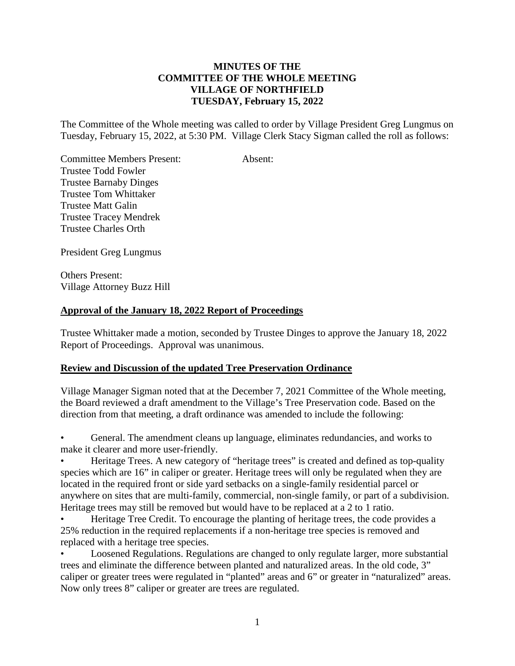## **MINUTES OF THE COMMITTEE OF THE WHOLE MEETING VILLAGE OF NORTHFIELD TUESDAY, February 15, 2022**

The Committee of the Whole meeting was called to order by Village President Greg Lungmus on Tuesday, February 15, 2022, at 5:30 PM. Village Clerk Stacy Sigman called the roll as follows:

Committee Members Present: Absent: Trustee Todd Fowler Trustee Barnaby Dinges Trustee Tom Whittaker Trustee Matt Galin Trustee Tracey Mendrek Trustee Charles Orth

President Greg Lungmus

Others Present: Village Attorney Buzz Hill

## **Approval of the January 18, 2022 Report of Proceedings**

Trustee Whittaker made a motion, seconded by Trustee Dinges to approve the January 18, 2022 Report of Proceedings. Approval was unanimous.

## **Review and Discussion of the updated Tree Preservation Ordinance**

Village Manager Sigman noted that at the December 7, 2021 Committee of the Whole meeting, the Board reviewed a draft amendment to the Village's Tree Preservation code. Based on the direction from that meeting, a draft ordinance was amended to include the following:

• General. The amendment cleans up language, eliminates redundancies, and works to make it clearer and more user-friendly.

• Heritage Trees. A new category of "heritage trees" is created and defined as top-quality species which are 16" in caliper or greater. Heritage trees will only be regulated when they are located in the required front or side yard setbacks on a single-family residential parcel or anywhere on sites that are multi-family, commercial, non-single family, or part of a subdivision. Heritage trees may still be removed but would have to be replaced at a 2 to 1 ratio.

• Heritage Tree Credit. To encourage the planting of heritage trees, the code provides a 25% reduction in the required replacements if a non-heritage tree species is removed and replaced with a heritage tree species.

• Loosened Regulations. Regulations are changed to only regulate larger, more substantial trees and eliminate the difference between planted and naturalized areas. In the old code, 3" caliper or greater trees were regulated in "planted" areas and 6" or greater in "naturalized" areas. Now only trees 8" caliper or greater are trees are regulated.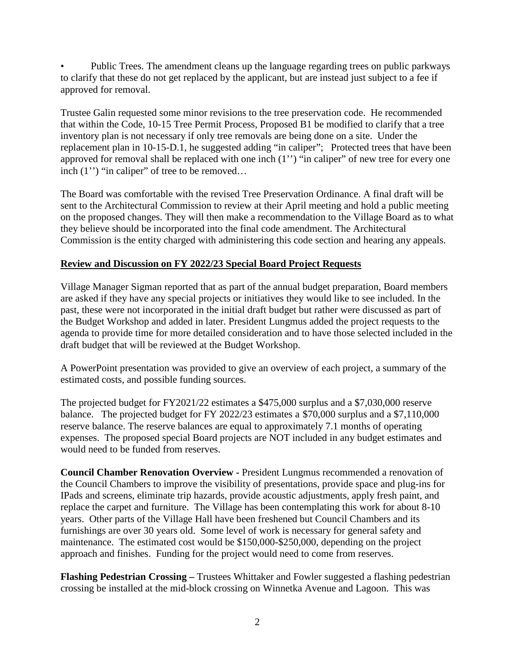• Public Trees. The amendment cleans up the language regarding trees on public parkways to clarify that these do not get replaced by the applicant, but are instead just subject to a fee if approved for removal.

Trustee Galin requested some minor revisions to the tree preservation code. He recommended that within the Code, 10-15 Tree Permit Process, Proposed B1 be modified to clarify that a tree inventory plan is not necessary if only tree removals are being done on a site. Under the replacement plan in 10-15-D.1, he suggested adding "in caliper"; Protected trees that have been approved for removal shall be replaced with one inch (1'') "in caliper" of new tree for every one inch (1'') "in caliper" of tree to be removed…

The Board was comfortable with the revised Tree Preservation Ordinance. A final draft will be sent to the Architectural Commission to review at their April meeting and hold a public meeting on the proposed changes. They will then make a recommendation to the Village Board as to what they believe should be incorporated into the final code amendment. The Architectural Commission is the entity charged with administering this code section and hearing any appeals.

# **Review and Discussion on FY 2022/23 Special Board Project Requests**

Village Manager Sigman reported that as part of the annual budget preparation, Board members are asked if they have any special projects or initiatives they would like to see included. In the past, these were not incorporated in the initial draft budget but rather were discussed as part of the Budget Workshop and added in later. President Lungmus added the project requests to the agenda to provide time for more detailed consideration and to have those selected included in the draft budget that will be reviewed at the Budget Workshop.

A PowerPoint presentation was provided to give an overview of each project, a summary of the estimated costs, and possible funding sources.

The projected budget for FY2021/22 estimates a \$475,000 surplus and a \$7,030,000 reserve balance. The projected budget for FY 2022/23 estimates a \$70,000 surplus and a \$7,110,000 reserve balance. The reserve balances are equal to approximately 7.1 months of operating expenses. The proposed special Board projects are NOT included in any budget estimates and would need to be funded from reserves.

**Council Chamber Renovation Overview -** President Lungmus recommended a renovation of the Council Chambers to improve the visibility of presentations, provide space and plug-ins for IPads and screens, eliminate trip hazards, provide acoustic adjustments, apply fresh paint, and replace the carpet and furniture. The Village has been contemplating this work for about 8-10 years. Other parts of the Village Hall have been freshened but Council Chambers and its furnishings are over 30 years old. Some level of work is necessary for general safety and maintenance. The estimated cost would be \$150,000-\$250,000, depending on the project approach and finishes. Funding for the project would need to come from reserves.

**Flashing Pedestrian Crossing –** Trustees Whittaker and Fowler suggested a flashing pedestrian crossing be installed at the mid-block crossing on Winnetka Avenue and Lagoon. This was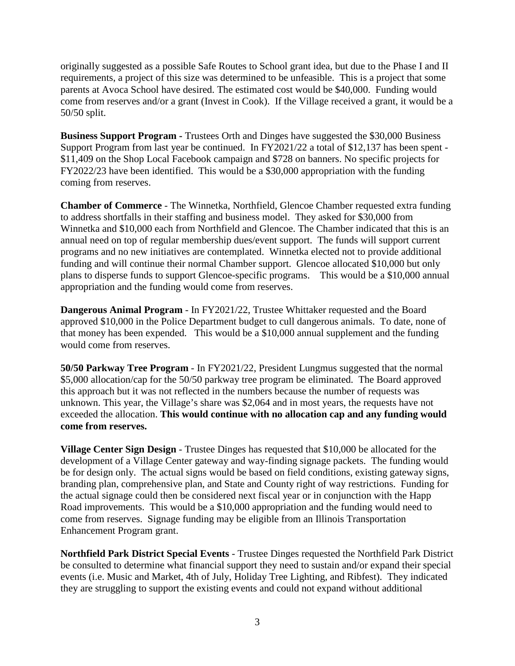originally suggested as a possible Safe Routes to School grant idea, but due to the Phase I and II requirements, a project of this size was determined to be unfeasible. This is a project that some parents at Avoca School have desired. The estimated cost would be \$40,000. Funding would come from reserves and/or a grant (Invest in Cook). If the Village received a grant, it would be a 50/50 split.

**Business Support Program -** Trustees Orth and Dinges have suggested the \$30,000 Business Support Program from last year be continued. In FY2021/22 a total of \$12,137 has been spent - \$11,409 on the Shop Local Facebook campaign and \$728 on banners. No specific projects for FY2022/23 have been identified. This would be a \$30,000 appropriation with the funding coming from reserves.

**Chamber of Commerce** - The Winnetka, Northfield, Glencoe Chamber requested extra funding to address shortfalls in their staffing and business model. They asked for \$30,000 from Winnetka and \$10,000 each from Northfield and Glencoe. The Chamber indicated that this is an annual need on top of regular membership dues/event support. The funds will support current programs and no new initiatives are contemplated. Winnetka elected not to provide additional funding and will continue their normal Chamber support. Glencoe allocated \$10,000 but only plans to disperse funds to support Glencoe-specific programs. This would be a \$10,000 annual appropriation and the funding would come from reserves.

**Dangerous Animal Program** - In FY2021/22, Trustee Whittaker requested and the Board approved \$10,000 in the Police Department budget to cull dangerous animals. To date, none of that money has been expended. This would be a \$10,000 annual supplement and the funding would come from reserves.

**50/50 Parkway Tree Program** - In FY2021/22, President Lungmus suggested that the normal \$5,000 allocation/cap for the 50/50 parkway tree program be eliminated. The Board approved this approach but it was not reflected in the numbers because the number of requests was unknown. This year, the Village's share was \$2,064 and in most years, the requests have not exceeded the allocation. **This would continue with no allocation cap and any funding would come from reserves.**

**Village Center Sign Design** - Trustee Dinges has requested that \$10,000 be allocated for the development of a Village Center gateway and way-finding signage packets. The funding would be for design only. The actual signs would be based on field conditions, existing gateway signs, branding plan, comprehensive plan, and State and County right of way restrictions. Funding for the actual signage could then be considered next fiscal year or in conjunction with the Happ Road improvements. This would be a \$10,000 appropriation and the funding would need to come from reserves. Signage funding may be eligible from an Illinois Transportation Enhancement Program grant.

**Northfield Park District Special Events** - Trustee Dinges requested the Northfield Park District be consulted to determine what financial support they need to sustain and/or expand their special events (i.e. Music and Market, 4th of July, Holiday Tree Lighting, and Ribfest). They indicated they are struggling to support the existing events and could not expand without additional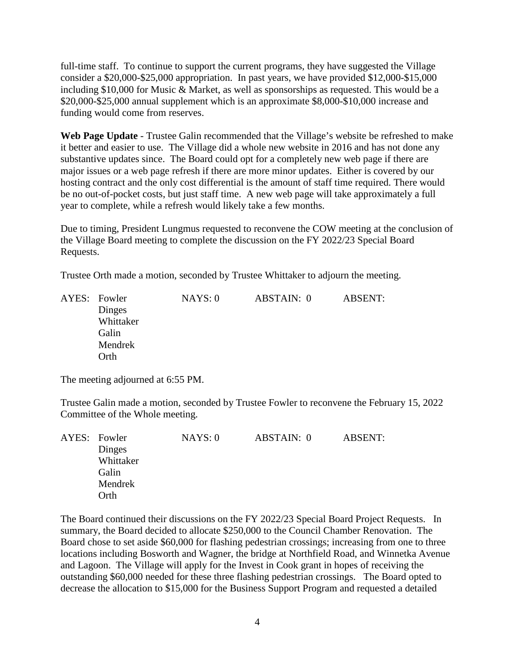full-time staff. To continue to support the current programs, they have suggested the Village consider a \$20,000-\$25,000 appropriation. In past years, we have provided \$12,000-\$15,000 including \$10,000 for Music & Market, as well as sponsorships as requested. This would be a \$20,000-\$25,000 annual supplement which is an approximate \$8,000-\$10,000 increase and funding would come from reserves.

**Web Page Update** - Trustee Galin recommended that the Village's website be refreshed to make it better and easier to use. The Village did a whole new website in 2016 and has not done any substantive updates since. The Board could opt for a completely new web page if there are major issues or a web page refresh if there are more minor updates. Either is covered by our hosting contract and the only cost differential is the amount of staff time required. There would be no out-of-pocket costs, but just staff time. A new web page will take approximately a full year to complete, while a refresh would likely take a few months.

Due to timing, President Lungmus requested to reconvene the COW meeting at the conclusion of the Village Board meeting to complete the discussion on the FY 2022/23 Special Board Requests.

Trustee Orth made a motion, seconded by Trustee Whittaker to adjourn the meeting.

|  | AYES: Fowler | NAYS:0 | ABSTAIN: 0 | <b>ABSENT:</b> |
|--|--------------|--------|------------|----------------|
|  | Dinges       |        |            |                |
|  | Whittaker    |        |            |                |
|  | Galin        |        |            |                |
|  | Mendrek      |        |            |                |
|  | Orth         |        |            |                |

The meeting adjourned at 6:55 PM.

Trustee Galin made a motion, seconded by Trustee Fowler to reconvene the February 15, 2022 Committee of the Whole meeting.

|  | AYES: Fowler | NAYS:0 | ABSTAIN: 0 | ABSENT: |
|--|--------------|--------|------------|---------|
|  | Dinges       |        |            |         |
|  | Whittaker    |        |            |         |
|  | Galin        |        |            |         |
|  | Mendrek      |        |            |         |
|  | Orth         |        |            |         |

The Board continued their discussions on the FY 2022/23 Special Board Project Requests. In summary, the Board decided to allocate \$250,000 to the Council Chamber Renovation. The Board chose to set aside \$60,000 for flashing pedestrian crossings; increasing from one to three locations including Bosworth and Wagner, the bridge at Northfield Road, and Winnetka Avenue and Lagoon. The Village will apply for the Invest in Cook grant in hopes of receiving the outstanding \$60,000 needed for these three flashing pedestrian crossings. The Board opted to decrease the allocation to \$15,000 for the Business Support Program and requested a detailed